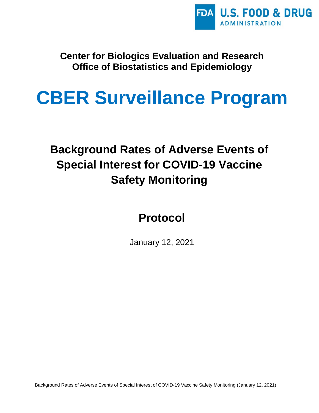

**Center for Biologics Evaluation and Research Office of Biostatistics and Epidemiology**

# **CBER Surveillance Program**

## **Background Rates of Adverse Events of Special Interest for COVID-19 Vaccine Safety Monitoring**

**Protocol**

January 12, 2021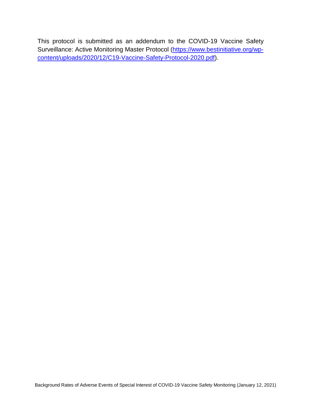This protocol is submitted as an addendum to the COVID-19 Vaccine Safety Surveillance: Active Monitoring Master Protocol [\(https://www.bestinitiative.org/wp](https://www.bestinitiative.org/wp-content/uploads/2020/12/C19-Vaccine-Safety-Protocol-2020.pdf)[content/uploads/2020/12/C19-Vaccine-Safety-Protocol-2020.pdf\)](https://www.bestinitiative.org/wp-content/uploads/2020/12/C19-Vaccine-Safety-Protocol-2020.pdf).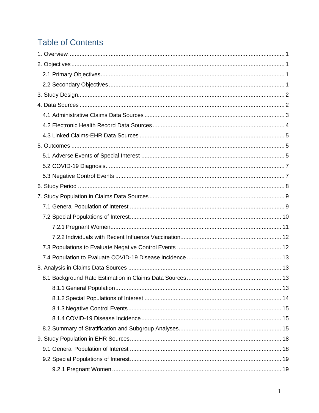### **Table of Contents**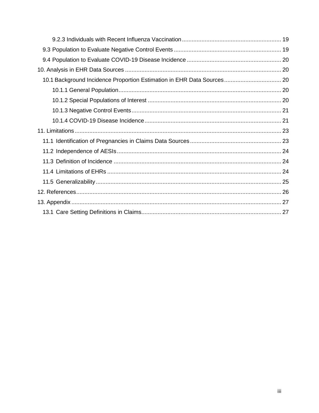| 10.1 Background Incidence Proportion Estimation in EHR Data Sources 20 |  |
|------------------------------------------------------------------------|--|
|                                                                        |  |
|                                                                        |  |
|                                                                        |  |
|                                                                        |  |
|                                                                        |  |
|                                                                        |  |
|                                                                        |  |
|                                                                        |  |
|                                                                        |  |
|                                                                        |  |
|                                                                        |  |
|                                                                        |  |
|                                                                        |  |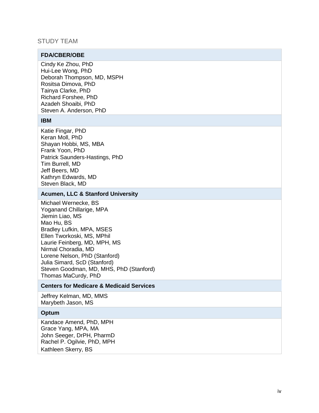#### STUDY TEAM

#### **FDA/CBER/OBE**

Cindy Ke Zhou, PhD Hui -Lee Wong, PhD Deborah Thompson, MD, MSPH Rositsa Dimova, PhD Tainya Clarke, PhD Richard Forshee, PhD Azadeh Shoaibi, PhD Steve n A. Anderson, PhD

#### **IBM**

Katie Fingar, PhD Keran Moll, PhD Shayan Hobbi, MS, MBA Frank Yoon, PhD Patrick Saunders-Hastings, PhD Tim Burrell, MD Jeff Beers, MD Kathryn Edwards, MD Steven Black, MD

#### **Acumen, LLC & Stanford University**

Michael Wernecke, BS Yoganand Chillarige, MPA Jiemin Liao, MS Mao Hu, BS Bradley Lufkin, MPA, MSES Ellen Tworkoski, MS, MPhil Laurie Feinberg, MD, MPH, MS Nirmal Choradia, MD Lorene Nelson, PhD (Stanford) Julia Simard, ScD (Stanford) Steven Goodman, MD, MHS, PhD (Stanford) Thomas MaCurdy, PhD

#### **Centers for Medicare & Medicaid Services**

Jeffrey Kelman, MD, MMS Marybeth Jason, MS

#### **Optum**

Kandace Amend, PhD, MPH Grace Yang, MPA, MA John Seeger, DrPH, PharmD Rachel P. Ogilvie, PhD, MPH Kathleen Skerry, BS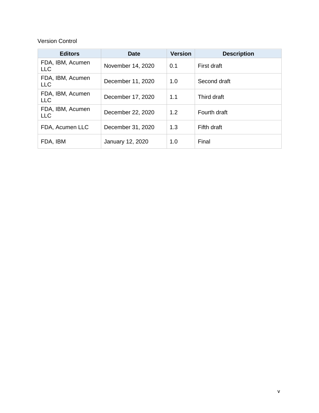#### Version Control

| <b>Editors</b>                 | <b>Date</b>       | <b>Version</b> | <b>Description</b> |
|--------------------------------|-------------------|----------------|--------------------|
| FDA, IBM, Acumen<br><b>LLC</b> | November 14, 2020 | 0.1            | First draft        |
| FDA, IBM, Acumen<br><b>LLC</b> | December 11, 2020 | 1.0            | Second draft       |
| FDA, IBM, Acumen<br><b>LLC</b> | December 17, 2020 | 1.1            | Third draft        |
| FDA, IBM, Acumen<br><b>LLC</b> | December 22, 2020 | 1.2            | Fourth draft       |
| FDA, Acumen LLC                | December 31, 2020 | 1.3            | Fifth draft        |
| FDA, IBM                       | January 12, 2020  | 1.0            | Final              |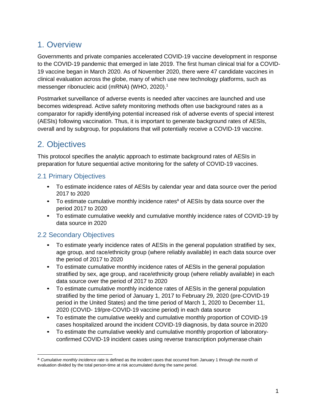### <span id="page-6-0"></span>1. Overview

Governments and private companies accelerated COVID-19 vaccine development in response to the COVID-19 pandemic that emerged in late 2019. The first human clinical trial for a COVID-19 vaccine began in March 2020. As of November 2020, there were 47 candidate vaccines in clinical evaluation across the globe, many of which use new technology platforms, such as messenger ribonucleic acid (mRNA) (WHO, 2020).<sup>1</sup>

Postmarket surveillance of adverse events is needed after vaccines are launched and use becomes widespread. Active safety monitoring methods often use background rates as a comparator for rapidly identifying potential increased risk of adverse events of special interest (AESIs) following vaccination. Thus, it is important to generate background rates of AESIs, overall and by subgroup, for populations that will potentially receive a COVID-19 vaccine.

### <span id="page-6-1"></span>2. Objectives

This protocol specifies the analytic approach to estimate background rates of AESIs in preparation for future sequential active monitoring for the safety of COVID-19 vaccines.

#### <span id="page-6-2"></span>2.1 Primary Objectives

- To estimate incidence rates of AESIs by calendar year and data source over the period 2017 to 2020
- To estimate cumulative monthly incidence rates<sup>a</sup> of AESIs by data source over the period 2017 to 2020
- To estimate cumulative weekly and cumulative monthly incidence rates of COVID-19 by data source in 2020

#### <span id="page-6-3"></span>2.2 Secondary Objectives

- To estimate yearly incidence rates of AESIs in the general population stratified by sex, age group, and race/ethnicity group (where reliably available) in each data source over the period of 2017 to 2020
- To estimate cumulative monthly incidence rates of AESIs in the general population stratified by sex, age group, and race/ethnicity group (where reliably available) in each data source over the period of 2017 to 2020
- To estimate cumulative monthly incidence rates of AESIs in the general population stratified by the time period of January 1, 2017 to February 29, 2020 (pre-COVID-19 period in the United States) and the time period of March 1, 2020 to December 11, 2020 (COVID- 19/pre-COVID-19 vaccine period) in each data source
- To estimate the cumulative weekly and cumulative monthly proportion of COVID-19 cases hospitalized around the incident COVID-19 diagnosis, by data source in 2020
- To estimate the cumulative weekly and cumulative monthly proportion of laboratoryconfirmed COVID-19 incident cases using reverse transcription polymerase chain

<sup>&</sup>lt;sup>a</sup> Cumulative monthly incidence rate is defined as the incident cases that occurred from January 1 through the month of evaluation divided by the total person-time at risk accumulated during the same period.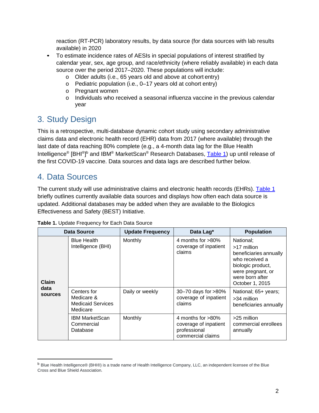reaction (RT-PCR) laboratory results, by data source (for data sources with lab results available) in 2020

- To estimate incidence rates of AESIs in special populations of interest stratified by calendar year, sex, age group, and race/ethnicity (where reliably available) in each data source over the period 2017–2020. These populations will include:
	- o Older adults (i.e., 65 years old and above at cohort entry)
	- o Pediatric population (i.e., 0–17 years old at cohort entry)
	- o Pregnant women
	- o Individuals who received a seasonal influenza vaccine in the previous calendar year

### <span id="page-7-0"></span>3. Study Design

This is a retrospective, multi-database dynamic cohort study using secondary administrative claims data and electronic health record (EHR) data from 2017 (where available) through the last date of data reaching 80% complete (e.g., a 4-month data lag for the Blue Health Intelligence® [BHI®]<sup>b</sup> and IBM® MarketScan® Research Databases, <u>Table 1</u>) up until release of the first COVID-19 vaccine. Data sources and data lags are described further below.

### <span id="page-7-1"></span>4. Data Sources

The current study will use administrative claims and electronic health records (EHRs). [Table 1](#page-7-2) briefly outlines currently available data sources and displays how often each data source is updated. Additional databases may be added when they are available to the Biologics Effectiveness and Safety (BEST) Initiative.

|                        | <b>Data Source</b>                                                                   | <b>Update Frequency</b>                                | Data Lag*                                                                       | <b>Population</b>                                                                                                                                    |
|------------------------|--------------------------------------------------------------------------------------|--------------------------------------------------------|---------------------------------------------------------------------------------|------------------------------------------------------------------------------------------------------------------------------------------------------|
| Claim                  | <b>Blue Health</b><br>Intelligence (BHI)                                             | Monthly                                                | 4 months for $>80\%$<br>coverage of inpatient<br>claims                         | National;<br>>17 million<br>beneficiaries annually<br>who received a<br>biologic product,<br>were pregnant, or<br>were born after<br>October 1, 2015 |
| data<br><b>sources</b> | Centers for<br>Daily or weekly<br>Medicare &<br><b>Medicaid Services</b><br>Medicare | 30-70 days for >80%<br>coverage of inpatient<br>claims | National; 65+ years;<br>>34 million<br>beneficiaries annually                   |                                                                                                                                                      |
|                        | <b>IBM MarketScan</b><br>Commercial<br>Database                                      | Monthly                                                | 4 months for >80%<br>coverage of inpatient<br>professional<br>commercial claims | >25 million<br>commercial enrollees<br>annually                                                                                                      |

<span id="page-7-2"></span>**Table 1.** Update Frequency for Each Data Source

<sup>b</sup> Blue Health Intelligence® (BHI®) is a trade name of Health Intelligence Company, LLC, an independent licensee of the Blue Cross and Blue Shield Association.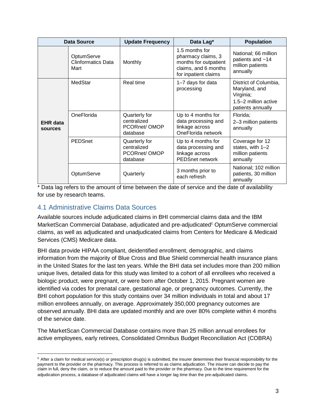| Data Source                |                                                 | <b>Update Frequency</b>                                  | Data Lag*                                                                                                     | <b>Population</b>                                                                                |
|----------------------------|-------------------------------------------------|----------------------------------------------------------|---------------------------------------------------------------------------------------------------------------|--------------------------------------------------------------------------------------------------|
|                            | OptumServe<br><b>Clinformatics Data</b><br>Mart | Monthly                                                  | 1.5 months for<br>pharmacy claims, 3<br>months for outpatient<br>claims, and 6 months<br>for inpatient claims | National; 66 million<br>patients and ~14<br>million patients<br>annually                         |
|                            | MedStar<br>Real time                            |                                                          | 1-7 days for data<br>processing                                                                               | District of Columbia,<br>Maryland, and<br>Virginia;<br>1.5-2 million active<br>patients annually |
| <b>EHR</b> data<br>sources | OneFlorida                                      | Quarterly for<br>centralized<br>PCORnet/OMOP<br>database | Up to 4 months for<br>data processing and<br>linkage across<br>OneFlorida network                             | Florida;<br>2-3 million patients<br>annually                                                     |
|                            | <b>PEDSnet</b>                                  | Quarterly for<br>centralized<br>PCORnet/OMOP<br>database | Up to 4 months for<br>data processing and<br>linkage across<br><b>PEDSnet network</b>                         | Coverage for 12<br>states, with 1-2<br>million patients<br>annually                              |
|                            | OptumServe                                      | Quarterly                                                | 3 months prior to<br>each refresh                                                                             | National; 102 million<br>patients, 30 million<br>annually                                        |

\* Data lag refers to the amount of time between the date of service and the date of availability for use by research teams.

#### <span id="page-8-0"></span>4.1 Administrative Claims Data Sources

Available sources include adjudicated claims in BHI commercial claims data and the IBM MarketScan Commercial Database, adjudicated and pre-adjudicated<sup>c</sup> OptumServe commercial claims, as well as adjudicated and unadjudicated claims from Centers for Medicare & Medicaid Services (CMS) Medicare data.

BHI data provide HIPAA compliant, deidentified enrollment, demographic, and claims information from the majority of Blue Cross and Blue Shield commercial health insurance plans in the United States for the last ten years. While the BHI data set includes more than 200 million unique lives, detailed data for this study was limited to a cohort of all enrollees who received a biologic product, were pregnant, or were born after October 1, 2015. Pregnant women are identified via codes for prenatal care, gestational age, or pregnancy outcomes. Currently, the BHI cohort population for this study contains over 34 million individuals in total and about 17 million enrollees annually, on average. Approximately 350,000 pregnancy outcomes are observed annually. BHI data are updated monthly and are over 80% complete within 4 months of the service date.

The MarketScan Commercial Database contains more than 25 million annual enrollees for active employees, early retirees, Consolidated Omnibus Budget Reconciliation Act (COBRA)

 $c$  After a claim for medical service(s) or prescription drug(s) is submitted, the insurer determines their financial responsibility for the payment to the provider or the pharmacy. This process is referred to as claims adjudication. The insurer can decide to pay the claim in full, deny the claim, or to reduce the amount paid to the provider or the pharmacy. Due to the time requirement for the adjudication process, a database of adjudicated claims will have a longer lag time than the pre-adjudicated claims.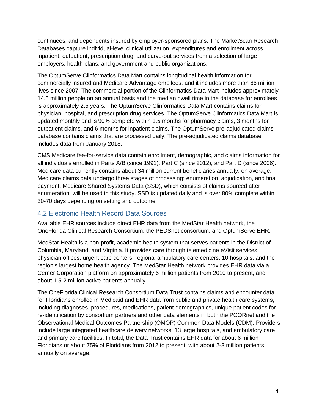continuees, and dependents insured by employer-sponsored plans. The MarketScan Research Databases capture individual-level clinical utilization, expenditures and enrollment across inpatient, outpatient, prescription drug, and carve-out services from a selection of large employers, health plans, and government and public organizations.

The OptumServe Clinformatics Data Mart contains longitudinal health information for commercially insured and Medicare Advantage enrollees, and it includes more than 66 million lives since 2007. The commercial portion of the Clinformatics Data Mart includes approximately 14.5 million people on an annual basis and the median dwell time in the database for enrollees is approximately 2.5 years. The OptumServe Clinformatics Data Mart contains claims for physician, hospital, and prescription drug services. The OptumServe Clinformatics Data Mart is updated monthly and is 90% complete within 1.5 months for pharmacy claims, 3 months for outpatient claims, and 6 months for inpatient claims. The OptumServe pre-adjudicated claims database contains claims that are processed daily. The pre-adjudicated claims database includes data from January 2018.

CMS Medicare fee-for-service data contain enrollment, demographic, and claims information for all individuals enrolled in Parts A/B (since 1991), Part C (since 2012), and Part D (since 2006). Medicare data currently contains about 34 million current beneficiaries annually, on average. Medicare claims data undergo three stages of processing: enumeration, adjudication, and final payment. Medicare Shared Systems Data (SSD), which consists of claims sourced after enumeration, will be used in this study. SSD is updated daily and is over 80% complete within 30-70 days depending on setting and outcome.

#### <span id="page-9-0"></span>4.2 Electronic Health Record Data Sources

Available EHR sources include direct EHR data from the MedStar Health network, the OneFlorida Clinical Research Consortium, the PEDSnet consortium, and OptumServe EHR.

MedStar Health is a non-profit, academic health system that serves patients in the District of Columbia, Maryland, and Virginia. It provides care through telemedicine eVisit services, physician offices, urgent care centers, regional ambulatory care centers, 10 hospitals, and the region's largest home health agency. The MedStar Health network provides EHR data via a Cerner Corporation platform on approximately 6 million patients from 2010 to present, and about 1.5-2 million active patients annually.

The OneFlorida Clinical Research Consortium Data Trust contains claims and encounter data for Floridians enrolled in Medicaid and EHR data from public and private health care systems, including diagnoses, procedures, medications, patient demographics, unique patient codes for re-identification by consortium partners and other data elements in both the PCORnet and the Observational Medical Outcomes Partnership (OMOP) Common Data Models (CDM). Providers include large integrated healthcare delivery networks, 13 large hospitals, and ambulatory care and primary care facilities. In total, the Data Trust contains EHR data for about 6 million Floridians or about 75% of Floridians from 2012 to present, with about 2-3 million patients annually on average.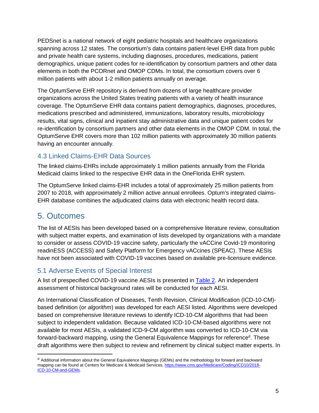PEDSnet is a national network of eight pediatric hospitals and healthcare organizations spanning across 12 states. The consortium's data contains patient-level EHR data from public and private health care systems, including diagnoses, procedures, medications, patient demographics, unique patient codes for re-identification by consortium partners and other data elements in both the PCORnet and OMOP CDMs. In total, the consortium covers over 6 million patients with about 1-2 million patients annually on average.

The OptumServe EHR repository is derived from dozens of large healthcare provider organizations across the United States treating patients with a variety of health insurance coverage. The OptumServe EHR data contains patient demographics, diagnoses, procedures, medications prescribed and administered, immunizations, laboratory results, microbiology results, vital signs, clinical and inpatient stay administrative data and unique patient codes for re-identification by consortium partners and other data elements in the OMOP CDM. In total, the OptumServe EHR covers more than 102 million patients with approximately 30 million patients having an encounter annually.

#### <span id="page-10-0"></span>4.3 Linked Claims-EHR Data Sources

The linked claims-EHRs include approximately 1 million patients annually from the Florida Medicaid claims linked to the respective EHR data in the OneFlorida EHR system.

The OptumServe linked claims-EHR includes a total of approximately 25 million patients from 2007 to 2018, with approximately 2 million active annual enrollees. Optum's integrated claims-EHR database combines the adjudicated claims data with electronic health record data.

### <span id="page-10-1"></span>5. Outcomes

The list of AESIs has been developed based on a comprehensive literature review, consultation with subject matter experts, and examination of lists developed by organizations with a mandate to consider or assess COVID-19 vaccine safety, particularly the vACCine Covid-19 monitoring readinESS (ACCESS) and Safety Platform for Emergency vACcines (SPEAC). These AESIs have not been associated with COVID-19 vaccines based on available pre-licensure evidence.

#### <span id="page-10-2"></span>5.1 Adverse Events of Special Interest

A list of prespecified COVID-19 vaccine AESIs is presented in [Table 2.](#page-11-0) An independent assessment of historical background rates will be conducted for each AESI.

An International Classification of Diseases, Tenth Revision, Clinical Modification (ICD-10-CM) based definition (or *algorithm*) was developed for each AESI listed. Algorithms were developed based on comprehensive literature reviews to identify ICD-10-CM algorithms that had been subject to independent validation. Because validated ICD-10-CM-based algorithms were not available for most AESIs, a validated ICD-9-CM algorithm was converted to ICD-10-CM via forward-backward mapping, using the General Equivalence Mappings for reference<sup>d</sup>. These draft algorithms were then subject to review and refinement by clinical subject matter experts. In

<sup>&</sup>lt;sup>d</sup> Additional information about the General Equivalence Mappings (GEMs) and the methodology for forward and backward mapping can be found at Centers for Medicare & Medicaid Services. [https://www.cms.gov/Medicare/Coding/ICD10/2018-](https://www.cms.gov/Medicare/Coding/ICD10/2018-ICD-10-CM-and-GEMs) [ICD-10-CM-and-GEMs.](https://www.cms.gov/Medicare/Coding/ICD10/2018-ICD-10-CM-and-GEMs)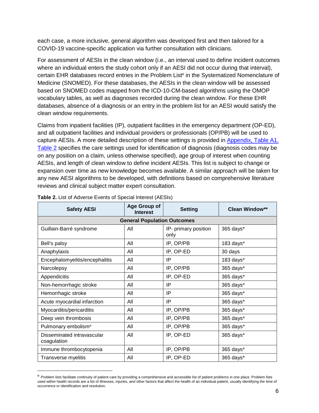each case, a more inclusive, general algorithm was developed first and then tailored for a COVID-19 vaccine-specific application via further consultation with clinicians.

For assessment of AESIs in the clean window (i.e., an interval used to define incident outcomes where an individual enters the study cohort only if an AESI did not occur during that interval), certain EHR databases record entries in the Problem List<sup>e</sup> in the Systematized Nomenclature of Medicine (SNOMED). For these databases, the AESIs in the clean window will be assessed based on SNOMED codes mapped from the ICD-10-CM-based algorithms using the OMOP vocabulary tables, as well as diagnoses recorded during the clean window. For these EHR databases, absence of a diagnosis or an entry in the problem list for an AESI would satisfy the clean window requirements.

Claims from inpatient facilities (IP), outpatient facilities in the emergency department (OP-ED), and all outpatient facilities and individual providers or professionals (OP/PB) will be used to capture AESIs. A more detailed description of these settings is provided in [Appendix, Table A1.](#page-32-1) [Table 2](#page-11-0) specifies the care settings used for identification of diagnosis (diagnosis codes may be on any position on a claim, unless otherwise specified), age group of interest when counting AESIs, and length of clean window to define incident AESIs. This list is subject to change or expansion over time as new knowledge becomes available. A similar approach will be taken for any new AESI algorithms to be developed, with definitions based on comprehensive literature reviews and clinical subject matter expert consultation.

| Age Group of<br><b>Safety AESI</b><br><b>Setting</b><br><b>Interest</b> |                                    |                              | <b>Clean Window**</b> |
|-------------------------------------------------------------------------|------------------------------------|------------------------------|-----------------------|
|                                                                         | <b>General Population Outcomes</b> |                              |                       |
| Guillain-Barré syndrome                                                 | All                                | IP- primary position<br>only | 365 days*             |
| Bell's palsy                                                            | All                                | IP, OP/PB                    | 183 days*             |
| Anaphylaxis                                                             | All                                | IP, OP-ED                    | 30 days               |
| Encephalomyelitis/encephalitis                                          | All                                | IP                           | 183 days*             |
| Narcolepsy                                                              | All                                | IP, OP/PB                    | 365 days*             |
| Appendicitis                                                            | All                                | IP, OP-ED                    | 365 days*             |
| Non-hemorrhagic stroke                                                  | All                                | IP                           | 365 days*             |
| Hemorrhagic stroke                                                      | All                                | IP                           | 365 days*             |
| Acute myocardial infarction                                             | All                                | IP                           | 365 days*             |
| Myocarditis/pericarditis                                                | All                                | IP, OP/PB                    | 365 days*             |
| Deep vein thrombosis                                                    | All                                | IP, OP/PB                    | 365 days*             |
| Pulmonary embolism <sup>#</sup>                                         | All                                | IP, OP/PB                    | 365 days*             |
| Disseminated intravascular<br>coagulation                               | All                                | IP, OP-ED                    | 365 days*             |
| Immune thrombocytopenia                                                 | All                                | IP, OP/PB                    | 365 days*             |
| Transverse myelitis                                                     | All                                | IP, OP-ED                    | 365 days*             |

<span id="page-11-0"></span>**Table 2.** List of Adverse Events of Special Interest (AESIs)

e Problem lists facilitate continuity of patient care by providing a comprehensive and accessible list of patient problems in one place. Problem lists used within health records are a list of illnesses, injuries, and other factors that affect the health of an individual patient, usually identifying the time of occurrence or identification and resolution.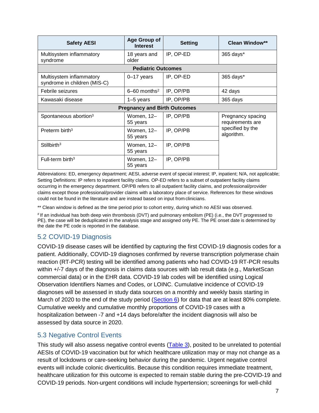| <b>Safety AESI</b>                                       | Age Group of<br><b>Interest</b>     | <b>Setting</b> | <b>Clean Window**</b>                 |
|----------------------------------------------------------|-------------------------------------|----------------|---------------------------------------|
| Multisystem inflammatory<br>syndrome                     | 18 years and<br>older               | IP, OP-ED      | 365 days*                             |
|                                                          | <b>Pediatric Outcomes</b>           |                |                                       |
| Multisystem inflammatory<br>syndrome in children (MIS-C) | $0-17$ years                        | IP, OP-ED      | 365 days*                             |
| Febrile seizures                                         | $6 - 60$ months <sup>2</sup>        | IP, OP/PB      | 42 days                               |
| Kawasaki disease                                         | $1-5$ years                         | IP, OP/PB      | 365 days                              |
|                                                          | <b>Pregnancy and Birth Outcomes</b> |                |                                       |
| Spontaneous abortion <sup>3</sup>                        | Women, 12-<br>55 years              | IP, OP/PB      | Pregnancy spacing<br>requirements are |
| Preterm birth <sup>3</sup>                               | Women, 12-<br>55 years              | IP, OP/PB      | specified by the<br>algorithm.        |
| Stillbirth <sup>3</sup>                                  | Women, 12-<br>55 years              | IP, OP/PB      |                                       |
| Full-term birth $3$                                      | Women, 12-<br>55 years              | IP, OP/PB      |                                       |

Abbreviations: ED, emergency department; AESI, adverse event of special interest; IP, inpatient; N/A, not applicable; Setting Definitions: IP refers to inpatient facility claims. OP-ED refers to a subset of outpatient facility claims occurring in the emergency department. OP/PB refers to all outpatient facility claims, and professional/provider claims except those professional/provider claims with a laboratory place of service. References for these windows could not be found in the literature and are instead based on input from clinicians.

\*\* Clean window is defined as the time period prior to cohort entry, during which no AESI was observed.

# If an individual has both deep vein thrombosis (DVT) and pulmonary embolism (PE) (i.e., the DVT progressed to PE), the case will be deduplicated in the analysis stage and assigned only PE. The PE onset date is determined by the date the PE code is reported in the database.

#### <span id="page-12-0"></span>5.2 COVID-19 Diagnosis

COVID-19 disease cases will be identified by capturing the first COVID-19 diagnosis codes for a patient. Additionally, COVID-19 diagnoses confirmed by reverse transcription polymerase chain reaction (RT-PCR) testing will be identified among patients who had COVID-19 RT-PCR results within +/-7 days of the diagnosis in claims data sources with lab result data (e.g., MarketScan commercial data) or in the EHR data. COVID-19 lab codes will be identified using Logical Observation Identifiers Names and Codes, or LOINC. Cumulative incidence of COVID-19 diagnoses will be assessed in study data sources on a monthly and weekly basis starting in March of 2020 to the end of the study period [\(Section 6\)](#page-13-0) for data that are at least 80% complete. Cumulative weekly and cumulative monthly proportions of COVID-19 cases with a hospitalization between -7 and +14 days before/after the incident diagnosis will also be assessed by data source in 2020.

#### <span id="page-12-1"></span>5.3 Negative Control Events

This study will also assess negative control events [\(Table 3\)](#page-13-1), posited to be unrelated to potential AESIs of COVID-19 vaccination but for which healthcare utilization may or may not change as a result of lockdowns or care-seeking behavior during the pandemic. Urgent negative control events will include colonic diverticulitis. Because this condition requires immediate treatment, healthcare utilization for this outcome is expected to remain stable during the pre-COVID-19 and COVID-19 periods. Non-urgent conditions will include hypertension; screenings for well-child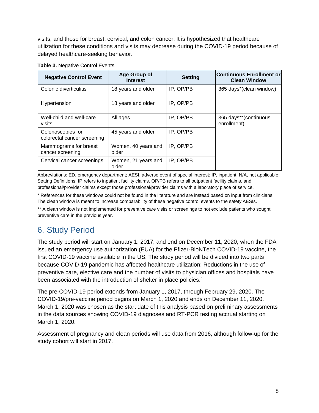visits; and those for breast, cervical, and colon cancer. It is hypothesized that healthcare utilization for these conditions and visits may decrease during the COVID-19 period because of delayed healthcare-seeking behavior.

| <b>Negative Control Event</b>                    | <b>Age Group of</b><br><b>Interest</b> | <b>Setting</b> | <b>Continuous Enrollment or</b><br><b>Clean Window</b> |
|--------------------------------------------------|----------------------------------------|----------------|--------------------------------------------------------|
| Colonic diverticulitis                           | 18 years and older                     | IP, OP/PB      | 365 days*(clean window)                                |
| Hypertension                                     | 18 years and older                     | IP, OP/PB      |                                                        |
| Well-child and well-care<br>visits               | All ages                               | IP, OP/PB      | 365 days**(continuous<br>enrollment)                   |
| Colonoscopies for<br>colorectal cancer screening | 45 years and older                     | IP, OP/PB      |                                                        |
| Mammograms for breast<br>cancer screening        | Women, 40 years and<br>older           | IP, OP/PB      |                                                        |
| Cervical cancer screenings                       | Women, 21 years and<br>older           | IP, OP/PB      |                                                        |

#### <span id="page-13-1"></span>**Table 3.** Negative Control Events

Abbreviations: ED, emergency department; AESI, adverse event of special interest; IP, inpatient; N/A, not applicable; Setting Definitions: IP refers to inpatient facility claims. OP/PB refers to all outpatient facility claims, and professional/provider claims except those professional/provider claims with a laboratory place of service.

\* References for these windows could not be found in the literature and are instead based on input from clinicians. The clean window is meant to increase comparability of these negative control events to the safety AESIs.

\*\* A clean window is not implemented for preventive care visits or screenings to not exclude patients who sought preventive care in the previous year.

### <span id="page-13-0"></span>6. Study Period

The study period will start on January 1, 2017, and end on December 11, 2020, when the FDA issued an emergency use authorization (EUA) for the Pfizer-BioNTech COVID-19 vaccine, the first COVID-19 vaccine available in the US. The study period will be divided into two parts because COVID-19 pandemic has affected healthcare utilization; Reductions in the use of preventive care, elective care and the number of visits to physician offices and hospitals have been associated with the introduction of shelter in place policies.<sup>4</sup>

The pre-COVID-19 period extends from January 1, 2017, through February 29, 2020. The COVID-19/pre-vaccine period begins on March 1, 2020 and ends on December 11, 2020. March 1, 2020 was chosen as the start date of this analysis based on preliminary assessments in the data sources showing COVID-19 diagnoses and RT-PCR testing accrual starting on March 1, 2020.

Assessment of pregnancy and clean periods will use data from 2016, although follow-up for the study cohort will start in 2017.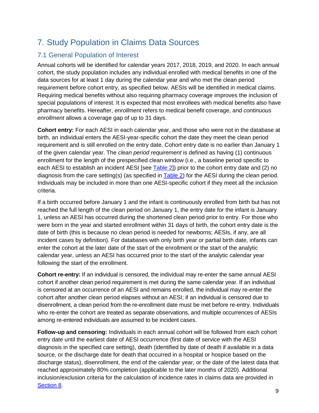### <span id="page-14-0"></span>7. Study Population in Claims Data Sources

#### <span id="page-14-1"></span>7.1 General Population of Interest

Annual cohorts will be identified for calendar years 2017, 2018, 2019, and 2020. In each annual cohort, the study population includes any individual enrolled with medical benefits in one of the data sources for at least 1 day during the calendar year and who met the clean period requirement before cohort entry, as specified below. AESIs will be identified in medical claims. Requiring medical benefits without also requiring pharmacy coverage improves the inclusion of special populations of interest. It is expected that most enrollees with medical benefits also have pharmacy benefits. Hereafter, *enrollment* refers to medical benefit coverage, and *continuous enrollment* allows a coverage gap of up to 31 days.

**Cohort entry:** For each AESI in each calendar year, and those who were not in the database at birth, an individual enters the AESI-year-specific cohort the date they meet the clean period requirement and is still enrolled on the entry date. Cohort entry date is no earlier than January 1 of the given calendar year. The *clean period requirement* is defined as having (1) continuous enrollment for the length of the prespecified clean window (i.e., a baseline period specific to each AESI to establish an incident AESI [see [Table 2\]](#page-11-0)) prior to the cohort entry date and (2) no diagnosis from the care setting(s) (as specified in  $Table 2$ ) for the AESI during the clean period. Individuals may be included in more than one AESI-specific cohort if they meet all the inclusion criteria.

If a birth occurred before January 1 and the infant is continuously enrolled from birth but has not reached the full length of the clean period on January 1, the entry date for the infant is January 1, unless an AESI has occurred during the shortened clean period prior to entry. For those who were born in the year and started enrollment within 31 days of birth, the cohort entry date is the date of birth (this is because no clean period is needed for newborns; AESIs, if any, are all incident cases by definition). For databases with only birth year or partial birth date, infants can enter the cohort at the later date of the start of the enrollment or the start of the analytic calendar year, unless an AESI has occurred prior to the start of the analytic calendar year following the start of the enrollment.

**Cohort re-entry:** If an individual is censored, the individual may re-enter the same annual AESI cohort if another clean period requirement is met during the same calendar year. If an individual is censored at an occurrence of an AESI and remains enrolled, the individual may re-enter the cohort after another clean period elapses without an AESI; if an individual is censored due to disenrollment, a clean period from the re-enrollment date must be met before re-entry. Individuals who re-enter the cohort are treated as separate observations, and multiple occurrences of AESIs among re-entered individuals are assumed to be incident cases.

**Follow-up and censoring:** Individuals in each annual cohort will be followed from each cohort entry date until the earliest date of AESI occurrence (first date of service with the AESI diagnosis in the specified care setting), death (identified by date of death if available in a data source, or the discharge date for death that occurred in a hospital or hospice based on the discharge status), disenrollment, the end of the calendar year, or the date of the latest data that reached approximately 80% completion (applicable to the later months of 2020). Additional inclusion/exclusion criteria for the calculation of incidence rates in claims data are provided in [Section 8.](#page-18-3)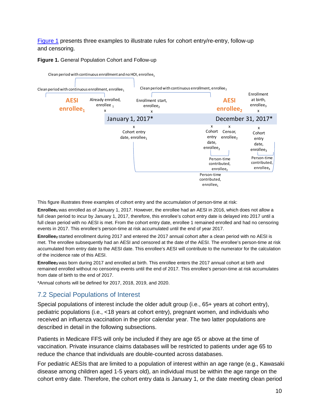<span id="page-15-1"></span>[Figure 1](#page-15-1) presents three examples to illustrate rules for cohort entry/re-entry, follow-up and censoring.

**Figure 1.** General Population Cohort and Follow-up



This figure illustrates three examples of cohort entry and the accumulation of person-time at risk:

**Enrollee1** was enrolled as of January 1, 2017. However, the enrollee had an AESI in 2016, which does not allow a full clean period to incur by January 1, 2017, therefore, this enrollee's cohort entry date is delayed into 2017 until a full clean period with no AESI is met. From the cohort entry date, enrollee 1 remained enrolled and had no censoring events in 2017. This enrollee's person-time at risk accumulated until the end of year 2017.

**Enrollee2** started enrollment during 2017 and entered the 2017 annual cohort after a clean period with no AESI is met. The enrollee subsequently had an AESI and censored at the date of the AESI. The enrollee's person-time at risk accumulated from entry date to the AESI date. This enrollee's AESI will contribute to the numerator for the calculation of the incidence rate of this AESI.

**Enrollee3** was born during 2017 and enrolled at birth. This enrollee enters the 2017 annual cohort at birth and remained enrolled without no censoring events until the end of 2017. This enrollee's person-time at risk accumulates from date of birth to the end of 2017.

\*Annual cohorts will be defined for 2017, 2018, 2019, and 2020.

#### <span id="page-15-0"></span>7.2 Special Populations of Interest

Special populations of interest include the older adult group (i.e., 65+ years at cohort entry), pediatric populations (i.e., <18 years at cohort entry), pregnant women, and individuals who received an influenza vaccination in the prior calendar year. The two latter populations are described in detail in the following subsections.

Patients in Medicare FFS will only be included if they are age 65 or above at the time of vaccination. Private insurance claims databases will be restricted to patients under age 65 to reduce the chance that individuals are double-counted across databases.

For pediatric AESIs that are limited to a population of interest within an age range (e.g., Kawasaki disease among children aged 1-5 years old), an individual must be within the age range on the cohort entry date. Therefore, the cohort entry data is January 1, or the date meeting clean period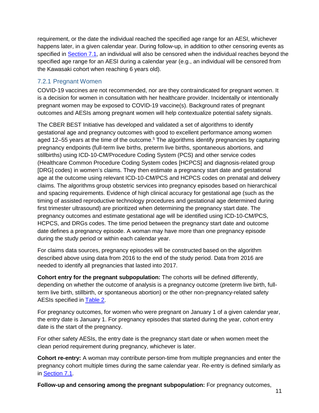requirement, or the date the individual reached the specified age range for an AESI, whichever happens later, in a given calendar year. During follow-up, in addition to other censoring events as specified in **Section 7.1**, an individual will also be censored when the individual reaches beyond the specified age range for an AESI during a calendar year (e.g., an individual will be censored from the Kawasaki cohort when reaching 6 years old).

#### <span id="page-16-0"></span>7.2.1 Pregnant Women

COVID-19 vaccines are not recommended, nor are they contraindicated for pregnant women. It is a decision for women in consultation with her healthcare provider. Incidentally or intentionally pregnant women may be exposed to COVID-19 vaccine(s). Background rates of pregnant outcomes and AESIs among pregnant women will help contextualize potential safety signals.

The CBER BEST Initiative has developed and validated a set of algorithms to identify gestational age and pregnancy outcomes with good to excellent performance among women aged 12–55 years at the time of the outcome.<sup>5</sup> The algorithms identify pregnancies by capturing pregnancy endpoints (full-term live births, preterm live births, spontaneous abortions, and stillbirths) using ICD-10-CM/Procedure Coding System (PCS) and other service codes (Healthcare Common Procedure Coding System codes [HCPCS] and diagnosis-related group [DRG] codes) in women's claims. They then estimate a pregnancy start date and gestational age at the outcome using relevant ICD-10-CM/PCS and HCPCS codes on prenatal and delivery claims. The algorithms group obstetric services into pregnancy episodes based on hierarchical and spacing requirements. Evidence of high clinical accuracy for gestational age (such as the timing of assisted reproductive technology procedures and gestational age determined during first trimester ultrasound) are prioritized when determining the pregnancy start date. The pregnancy outcomes and estimate gestational age will be identified using ICD-10-CM/PCS, HCPCS, and DRGs codes. The time period between the pregnancy start date and outcome date defines a pregnancy episode. A woman may have more than one pregnancy episode during the study period or within each calendar year.

For claims data sources, pregnancy episodes will be constructed based on the algorithm described above using data from 2016 to the end of the study period. Data from 2016 are needed to identify all pregnancies that lasted into 2017.

**Cohort entry for the pregnant subpopulation:** The cohorts will be defined differently, depending on whether the outcome of analysis is a pregnancy outcome (preterm live birth, fullterm live birth, stillbirth, or spontaneous abortion) or the other non-pregnancy-related safety AESIs specified in [Table 2.](#page-11-0)

For pregnancy outcomes, for women who were pregnant on January 1 of a given calendar year, the entry date is January 1. For pregnancy episodes that started during the year, cohort entry date is the start of the pregnancy.

For other safety AESIs, the entry date is the pregnancy start date or when women meet the clean period requirement during pregnancy, whichever is later.

**Cohort re-entry:** A woman may contribute person-time from multiple pregnancies and enter the pregnancy cohort multiple times during the same calendar year. Re-entry is defined similarly as in [Section 7.1.](#page-14-1)

**Follow-up and censoring among the pregnant subpopulation:** For pregnancy outcomes,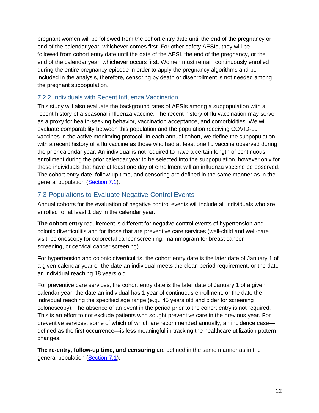pregnant women will be followed from the cohort entry date until the end of the pregnancy or end of the calendar year, whichever comes first. For other safety AESIs, they will be followed from cohort entry date until the date of the AESI, the end of the pregnancy, or the end of the calendar year, whichever occurs first. Women must remain continuously enrolled during the entire pregnancy episode in order to apply the pregnancy algorithms and be included in the analysis, therefore, censoring by death or disenrollment is not needed among the pregnant subpopulation.

#### <span id="page-17-0"></span>7.2.2 Individuals with Recent Influenza Vaccination

This study will also evaluate the background rates of AESIs among a subpopulation with a recent history of a seasonal influenza vaccine. The recent history of flu vaccination may serve as a proxy for health-seeking behavior, vaccination acceptance, and comorbidities. We will evaluate comparability between this population and the population receiving COVID-19 vaccines in the active monitoring protocol. In each annual cohort, we define the subpopulation with a recent history of a flu vaccine as those who had at least one flu vaccine observed during the prior calendar year. An individual is not required to have a certain length of continuous enrollment during the prior calendar year to be selected into the subpopulation, however only for those individuals that have at least one day of enrollment will an influenza vaccine be observed. The cohort entry date, follow-up time, and censoring are defined in the same manner as in the general population [\(Section](#page-14-1) 7.1).

#### <span id="page-17-1"></span>7.3 Populations to Evaluate Negative Control Events

Annual cohorts for the evaluation of negative control events will include all individuals who are enrolled for at least 1 day in the calendar year.

**The cohort entry** requirement is different for negative control events of hypertension and colonic diverticulitis and for those that are preventive care services (well-child and well-care visit, colonoscopy for colorectal cancer screening, mammogram for breast cancer screening, or cervical cancer screening).

For hypertension and colonic diverticulitis, the cohort entry date is the later date of January 1 of a given calendar year or the date an individual meets the clean period requirement, or the date an individual reaching 18 years old.

For preventive care services, the cohort entry date is the later date of January 1 of a given calendar year, the date an individual has 1 year of continuous enrollment, or the date the individual reaching the specified age range (e.g., 45 years old and older for screening colonoscopy). The absence of an event in the period prior to the cohort entry is not required. This is an effort to not exclude patients who sought preventive care in the previous year. For preventive services, some of which of which are recommended annually, an incidence case defined as the first occurrence—is less meaningful in tracking the healthcare utilization pattern changes.

**The re-entry, follow-up time, and censoring** are defined in the same manner as in the general population [\(Section 7.1\)](#page-14-1).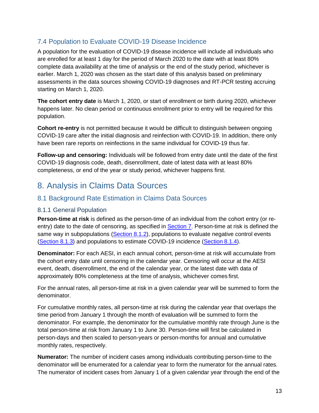#### <span id="page-18-0"></span>7.4 Population to Evaluate COVID-19 Disease Incidence

A population for the evaluation of COVID-19 disease incidence will include all individuals who are enrolled for at least 1 day for the period of March 2020 to the date with at least 80% complete data availability at the time of analysis or the end of the study period, whichever is earlier. March 1, 2020 was chosen as the start date of this analysis based on preliminary assessments in the data sources showing COVID-19 diagnoses and RT-PCR testing accruing starting on March 1, 2020.

**The cohort entry date** is March 1, 2020, or start of enrollment or birth during 2020, whichever happens later. No clean period or continuous enrollment prior to entry will be required for this population.

**Cohort re-entry** is not permitted because it would be difficult to distinguish between ongoing COVID-19 care after the initial diagnosis and reinfection with COVID-19. In addition, there only have been rare reports on reinfections in the same individual for COVID-19 thus far.

**Follow-up and censoring:** Individuals will be followed from entry date until the date of the first COVID-19 diagnosis code, death, disenrollment, date of latest data with at least 80% completeness, or end of the year or study period, whichever happens first.

### <span id="page-18-1"></span>8. Analysis in Claims Data Sources

#### <span id="page-18-2"></span>8.1 Background Rate Estimation in Claims Data Sources

#### <span id="page-18-3"></span>8.1.1 General Population

**Person-time at risk** is defined as the person-time of an individual from the cohort entry (or reentry) date to the date of censoring, as specified in **Section 7**. Person-time at risk is defined the same way in subpopulations [\(Section 8.1.2\)](#page-19-0), populations to evaluate negative control events [\(Section 8.1.3\)](#page-20-0) and populations to estimate COVID-19 incidence [\(Section](#page-20-1) 8.1.4).

**Denominator:** For each AESI, in each annual cohort, person-time at risk will accumulate from the cohort entry date until censoring in the calendar year*.* Censoring will occur at the AESI event, death, disenrollment, the end of the calendar year, or the latest date with data of approximately 80% completeness at the time of analysis, whichever comes first.

For the annual rates, all person-time at risk in a given calendar year will be summed to form the denominator.

For cumulative monthly rates, all person-time at risk during the calendar year that overlaps the time period from January 1 through the month of evaluation will be summed to form the denominator. For example, the denominator for the cumulative monthly rate through June is the total person-time at risk from January 1 to June 30. Person-time will first be calculated in person-days and then scaled to person-years or person-months for annual and cumulative monthly rates, respectively.

**Numerator:** The number of incident cases among individuals contributing person-time to the denominator will be enumerated for a calendar year to form the numerator for the annual rates. The numerator of incident cases from January 1 of a given calendar year through the end of the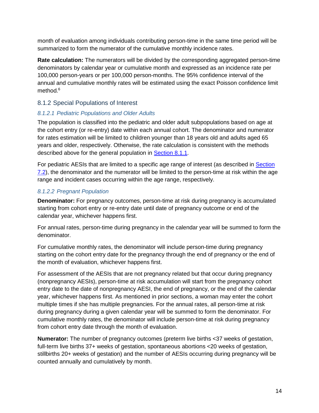month of evaluation among individuals contributing person-time in the same time period will be summarized to form the numerator of the cumulative monthly incidence rates.

**Rate calculation:** The numerators will be divided by the corresponding aggregated person-time denominators by calendar year or cumulative month and expressed as an incidence rate per 100,000 person-years or per 100,000 person-months. The 95% confidence interval of the annual and cumulative monthly rates will be estimated using the exact Poisson confidence limit method.<sup>6</sup>

#### <span id="page-19-0"></span>8.1.2 Special Populations of Interest

#### *8.1.2.1 Pediatric Populations and Older Adults*

The population is classified into the pediatric and older adult subpopulations based on age at the cohort entry (or re-entry) date within each annual cohort. The denominator and numerator for rates estimation will be limited to children younger than 18 years old and adults aged 65 years and older, respectively. Otherwise, the rate calculation is consistent with the methods described above for the general population in [Section 8.1.1.](#page-18-3)

For pediatric AESIs that are limited to a specific age range of interest (as described in [Section](#page-15-0) 7.2), the denominator and the numerator will be limited to the person-time at risk within the age range and incident cases occurring within the age range, respectively.

#### *8.1.2.2 Pregnant Population*

**Denominator:** For pregnancy outcomes, person-time at risk during pregnancy is accumulated starting from cohort entry or re-entry date until date of pregnancy outcome or end of the calendar year, whichever happens first.

For annual rates, person-time during pregnancy in the calendar year will be summed to form the denominator.

For cumulative monthly rates, the denominator will include person-time during pregnancy starting on the cohort entry date for the pregnancy through the end of pregnancy or the end of the month of evaluation, whichever happens first.

For assessment of the AESIs that are not pregnancy related but that occur during pregnancy (nonpregnancy AESIs), person-time at risk accumulation will start from the pregnancy cohort entry date to the date of nonpregnancy AESI, the end of pregnancy, or the end of the calendar year, whichever happens first. As mentioned in prior sections, a woman may enter the cohort multiple times if she has multiple pregnancies. For the annual rates, all person-time at risk during pregnancy during a given calendar year will be summed to form the denominator. For cumulative monthly rates, the denominator will include person-time at risk during pregnancy from cohort entry date through the month of evaluation.

**Numerator:** The number of pregnancy outcomes (preterm live births <37 weeks of gestation, full-term live births 37+ weeks of gestation, spontaneous abortions <20 weeks of gestation, stillbirths 20+ weeks of gestation) and the number of AESIs occurring during pregnancy will be counted annually and cumulatively by month.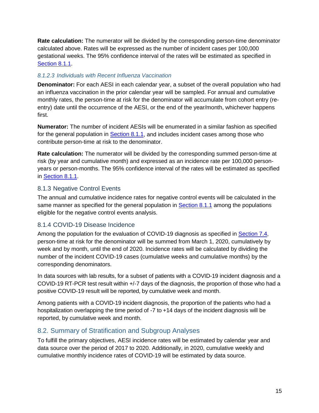**Rate calculation:** The numerator will be divided by the corresponding person-time denominator calculated above. Rates will be expressed as the number of incident cases per 100,000 gestational weeks. The 95% confidence interval of the rates will be estimated as specified in [Section 8.1.1.](#page-18-3)

#### *8.1.2.3 Individuals with Recent Influenza Vaccination*

**Denominator:** For each AESI in each calendar year, a subset of the overall population who had an influenza vaccination in the prior calendar year will be sampled. For annual and cumulative monthly rates, the person-time at risk for the denominator will accumulate from cohort entry (reentry) date until the occurrence of the AESI, or the end of the year/month, whichever happens first.

**Numerator:** The number of incident AESIs will be enumerated in a similar fashion as specified for the general population in [Section 8.1.1,](#page-18-3) and includes incident cases among those who contribute person-time at risk to the denominator.

**Rate calculation:** The numerator will be divided by the corresponding summed person-time at risk (by year and cumulative month) and expressed as an incidence rate per 100,000 personyears or person-months. The 95% confidence interval of the rates will be estimated as specified in [Section 8.1.1.](#page-18-3)

#### <span id="page-20-0"></span>8.1.3 Negative Control Events

The annual and cumulative incidence rates for negative control events will be calculated in the same manner as specified for the general population in [Section 8.1.1](#page-18-3) among the populations eligible for the negative control events analysis.

#### <span id="page-20-1"></span>8.1.4 COVID-19 Disease Incidence

Among the population for the evaluation of COVID-19 diagnosis as specified in [Section 7.4,](#page-18-0) person-time at risk for the denominator will be summed from March 1, 2020, cumulatively by week and by month, until the end of 2020. Incidence rates will be calculated by dividing the number of the incident COVID-19 cases (cumulative weeks and cumulative months) by the corresponding denominators.

In data sources with lab results, for a subset of patients with a COVID-19 incident diagnosis and a COVID-19 RT-PCR test result within +/-7 days of the diagnosis, the proportion of those who had a positive COVID-19 result will be reported, by cumulative week and month.

Among patients with a COVID-19 incident diagnosis, the proportion of the patients who had a hospitalization overlapping the time period of -7 to +14 days of the incident diagnosis will be reported, by cumulative week and month.

#### <span id="page-20-2"></span>8.2. Summary of Stratification and Subgroup Analyses

To fulfill the primary objectives, AESI incidence rates will be estimated by calendar year and data source over the period of 2017 to 2020. Additionally, in 2020, cumulative weekly and cumulative monthly incidence rates of COVID-19 will be estimated by data source.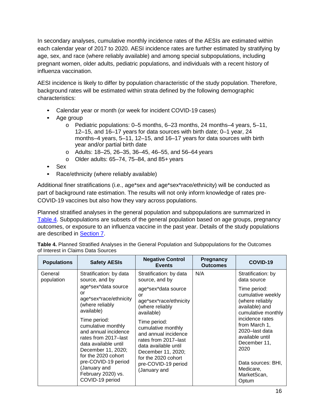In secondary analyses, cumulative monthly incidence rates of the AESIs are estimated within each calendar year of 2017 to 2020. AESI incidence rates are further estimated by stratifying by age, sex, and race (where reliably available) and among special subpopulations, including pregnant women, older adults, pediatric populations, and individuals with a recent history of influenza vaccination.

AESI incidence is likely to differ by population characteristic of the study population. Therefore, background rates will be estimated within strata defined by the following demographic characteristics:

- Calendar year or month (or week for incident COVID-19 cases)
- Age group
	- $\circ$  Pediatric populations: 0–5 months, 6–23 months, 24 months–4 years, 5–11, 12–15, and 16–17 years for data sources with birth date; 0–1 year, 24 months–4 years, 5–11, 12–15, and 16–17 years for data sources with birth year and/or partial birth date
	- o Adults: 18–25, 26–35, 36–45, 46–55, and 56–64 years
	- $\circ$  Older adults: 65–74, 75–84, and 85+ years
- Sex
- Race/ethnicity (where reliably available)

Additional finer stratifications (i.e., age\*sex and age\*sex\*race/ethnicity) will be conducted as part of background rate estimation. The results will not only inform knowledge of rates pre-COVID-19 vaccines but also how they vary across populations.

Planned stratified analyses in the general population and subpopulations are summarized in [Table 4.](#page-21-0) Subpopulations are subsets of the general population based on age groups, pregnancy outcomes, or exposure to an influenza vaccine in the past year. Details of the study populations are described in [Section 7.](#page-14-1)

<span id="page-21-0"></span>**Table 4.** Planned Stratified Analyses in the General Population and Subpopulations for the Outcomes of Interest in Claims Data Sources

| <b>Populations</b>    | <b>Safety AESIs</b>                                                                                                                                                                                                  | <b>Negative Control</b><br><b>Events</b>                                                                                                                                                       | Pregnancy<br><b>Outcomes</b> | COVID-19                                                                                                                                        |
|-----------------------|----------------------------------------------------------------------------------------------------------------------------------------------------------------------------------------------------------------------|------------------------------------------------------------------------------------------------------------------------------------------------------------------------------------------------|------------------------------|-------------------------------------------------------------------------------------------------------------------------------------------------|
| General<br>population | Stratification: by data<br>source, and by                                                                                                                                                                            | Stratification: by data<br>source, and by                                                                                                                                                      | N/A                          | Stratification: by<br>data source                                                                                                               |
|                       | age*sex*data source<br>or<br>age*sex*race/ethnicity<br>(where reliably<br>available)                                                                                                                                 | age*sex*data source<br>or<br>age*sex*race/ethnicity<br>(where reliably<br>available)                                                                                                           |                              | Time period:<br>cumulative weekly<br>(where reliably)<br>available) and<br>cumulative monthly                                                   |
|                       | Time period:<br>cumulative monthly<br>and annual incidence<br>rates from 2017–last<br>data available until<br>December 11, 2020;<br>for the 2020 cohort<br>pre-COVID-19 period<br>(January and<br>February 2020) vs. | Time period:<br>cumulative monthly<br>and annual incidence<br>rates from 2017-last<br>data available until<br>December 11, 2020;<br>for the 2020 cohort<br>pre-COVID-19 period<br>(January and |                              | incidence rates<br>from March 1,<br>2020-last data<br>available until<br>December 11,<br>2020<br>Data sources: BHI,<br>Medicare,<br>MarketScan, |
|                       | COVID-19 period                                                                                                                                                                                                      |                                                                                                                                                                                                |                              | Optum                                                                                                                                           |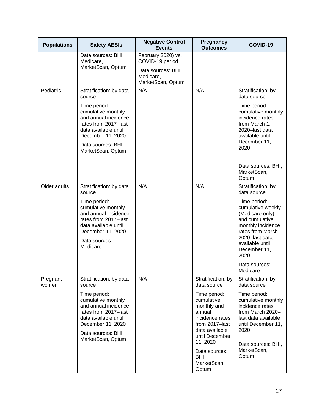| <b>Populations</b> | <b>Safety AESIs</b>                                                                                                             | <b>Negative Control</b><br><b>Events</b>                                                      | Pregnancy<br><b>Outcomes</b>                                                             | COVID-19                                                                                                                    |
|--------------------|---------------------------------------------------------------------------------------------------------------------------------|-----------------------------------------------------------------------------------------------|------------------------------------------------------------------------------------------|-----------------------------------------------------------------------------------------------------------------------------|
|                    | Data sources: BHI,<br>Medicare,<br>MarketScan, Optum                                                                            | February 2020) vs.<br>COVID-19 period<br>Data sources: BHI,<br>Medicare,<br>MarketScan, Optum |                                                                                          |                                                                                                                             |
| Pediatric          | Stratification: by data<br>source                                                                                               | N/A                                                                                           | N/A                                                                                      | Stratification: by<br>data source                                                                                           |
|                    | Time period:<br>cumulative monthly<br>and annual incidence<br>rates from 2017-last<br>data available until<br>December 11, 2020 |                                                                                               |                                                                                          | Time period:<br>cumulative monthly<br>incidence rates<br>from March 1,<br>2020-last data<br>available until<br>December 11, |
|                    | Data sources: BHI,<br>MarketScan, Optum                                                                                         |                                                                                               |                                                                                          | 2020                                                                                                                        |
|                    |                                                                                                                                 |                                                                                               |                                                                                          | Data sources: BHI,<br>MarketScan,<br>Optum                                                                                  |
| Older adults       | Stratification: by data<br>source                                                                                               | N/A                                                                                           | N/A                                                                                      | Stratification: by<br>data source                                                                                           |
|                    | Time period:<br>cumulative monthly<br>and annual incidence<br>rates from 2017-last<br>data available until<br>December 11, 2020 |                                                                                               |                                                                                          | Time period:<br>cumulative weekly<br>(Medicare only)<br>and cumulative<br>monthly incidence<br>rates from March             |
|                    | Data sources:<br>Medicare                                                                                                       |                                                                                               |                                                                                          | 2020-last data<br>available until<br>December 11,<br>2020                                                                   |
|                    |                                                                                                                                 |                                                                                               |                                                                                          | Data sources:<br>Medicare                                                                                                   |
| Pregnant<br>women  | Stratification: by data<br>source                                                                                               | N/A                                                                                           | Stratification: by<br>data source                                                        | Stratification: by<br>data source                                                                                           |
|                    | Time period:<br>cumulative monthly<br>and annual incidence<br>rates from 2017-last<br>data available until<br>December 11, 2020 |                                                                                               | Time period:<br>cumulative<br>monthly and<br>annual<br>incidence rates<br>from 2017-last | Time period:<br>cumulative monthly<br>incidence rates<br>from March 2020-<br>last data available<br>until December 11,      |
|                    | Data sources: BHI,<br>MarketScan, Optum                                                                                         |                                                                                               | data available<br>until December<br>11, 2020                                             | 2020<br>Data sources: BHI,                                                                                                  |
|                    |                                                                                                                                 |                                                                                               | Data sources:<br>BHI,<br>MarketScan,<br>Optum                                            | MarketScan,<br>Optum                                                                                                        |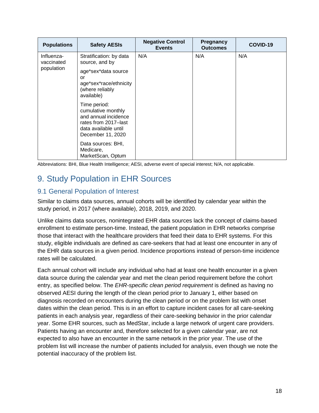| <b>Populations</b>       | <b>Safety AESIs</b>                                                                                                             | <b>Negative Control</b><br><b>Events</b> | <b>Pregnancy</b><br><b>Outcomes</b> | COVID-19 |
|--------------------------|---------------------------------------------------------------------------------------------------------------------------------|------------------------------------------|-------------------------------------|----------|
| Influenza-<br>vaccinated | Stratification: by data<br>source, and by                                                                                       | N/A                                      | N/A                                 | N/A      |
| population               | age*sex*data source<br>or<br>age*sex*race/ethnicity<br>(where reliably<br>available)                                            |                                          |                                     |          |
|                          | Time period:<br>cumulative monthly<br>and annual incidence<br>rates from 2017–last<br>data available until<br>December 11, 2020 |                                          |                                     |          |
|                          | Data sources: BHI,<br>Medicare,<br>MarketScan, Optum                                                                            |                                          |                                     |          |

Abbreviations: BHI, Blue Health Intelligence; AESI, adverse event of special interest; N/A, not applicable.

### <span id="page-23-0"></span>9. Study Population in EHR Sources

#### <span id="page-23-1"></span>9.1 General Population of Interest

Similar to claims data sources, annual cohorts will be identified by calendar year within the study period, in 2017 (where available), 2018, 2019, and 2020.

Unlike claims data sources, nonintegrated EHR data sources lack the concept of claims-based enrollment to estimate person-time. Instead, the patient population in EHR networks comprise those that interact with the healthcare providers that feed their data to EHR systems. For this study, eligible individuals are defined as care-seekers that had at least one encounter in any of the EHR data sources in a given period. Incidence proportions instead of person-time incidence rates will be calculated.

Each annual cohort will include any individual who had at least one health encounter in a given data source during the calendar year and met the clean period requirement before the cohort entry, as specified below. The *EHR-specific clean period requirement* is defined as having no observed AESI during the length of the clean period prior to January 1, either based on diagnosis recorded on encounters during the clean period or on the problem list with onset dates within the clean period. This is in an effort to capture incident cases for all care-seeking patients in each analysis year, regardless of their care-seeking behavior in the prior calendar year. Some EHR sources, such as MedStar, include a large network of urgent care providers. Patients having an encounter and, therefore selected for a given calendar year, are not expected to also have an encounter in the same network in the prior year. The use of the problem list will increase the number of patients included for analysis, even though we note the potential inaccuracy of the problem list.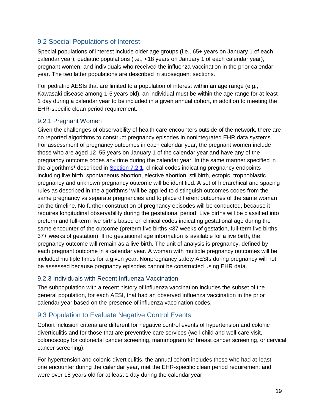#### <span id="page-24-0"></span>9.2 Special Populations of Interest

Special populations of interest include older age groups (i.e., 65+ years on January 1 of each calendar year), pediatric populations (i.e., <18 years on January 1 of each calendar year), pregnant women, and individuals who received the influenza vaccination in the prior calendar year. The two latter populations are described in subsequent sections.

For pediatric AESIs that are limited to a population of interest within an age range (e.g., Kawasaki disease among 1-5 years old), an individual must be within the age range for at least 1 day during a calendar year to be included in a given annual cohort, in addition to meeting the EHR-specific clean period requirement.

#### <span id="page-24-1"></span>9.2.1 Pregnant Women

Given the challenges of observability of health care encounters outside of the network, there are no reported algorithms to construct pregnancy episodes in nonintegrated EHR data systems. For assessment of pregnancy outcomes in each calendar year, the pregnant women include those who are aged 12–55 years on January 1 of the calendar year and have any of the pregnancy outcome codes any time during the calendar year. In the same manner specified in the algorithms<sup>3</sup> described in [Section 7.2.1,](#page-16-0) clinical codes indicating pregnancy endpoints including live birth, spontaneous abortion, elective abortion, stillbirth, ectopic, trophoblastic pregnancy and unknown pregnancy outcome will be identified. A set of hierarchical and spacing rules as described in the algorithms<sup>3</sup> will be applied to distinguish outcomes codes from the same pregnancy vs separate pregnancies and to place different outcomes of the same woman on the timeline. No further construction of pregnancy episodes will be conducted, because it requires longitudinal observability during the gestational period. Live births will be classified into preterm and full-term live births based on clinical codes indicating gestational age during the same encounter of the outcome (preterm live births <37 weeks of gestation, full-term live births 37+ weeks of gestation). If no gestational age information is available for a live birth, the pregnancy outcome will remain as a live birth. The unit of analysis is pregnancy, defined by each pregnant outcome in a calendar year. A woman with multiple pregnancy outcomes will be included multiple times for a given year. Nonpregnancy safety AESIs during pregnancy will not be assessed because pregnancy episodes cannot be constructed using EHR data.

#### <span id="page-24-2"></span>9.2.3 Individuals with Recent Influenza Vaccination

The subpopulation with a recent history of influenza vaccination includes the subset of the general population, for each AESI, that had an observed influenza vaccination in the prior calendar year based on the presence of influenza vaccination codes.

#### <span id="page-24-3"></span>9.3 Population to Evaluate Negative Control Events

Cohort inclusion criteria are different for negative control events of hypertension and colonic diverticulitis and for those that are preventive care services (well-child and well-care visit, colonoscopy for colorectal cancer screening, mammogram for breast cancer screening, or cervical cancer screening).

For hypertension and colonic diverticulitis, the annual cohort includes those who had at least one encounter during the calendar year, met the EHR-specific clean period requirement and were over 18 years old for at least 1 day during the calendar year.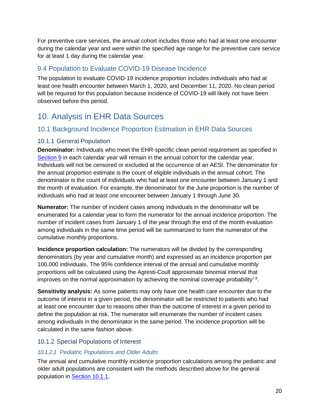For preventive care services, the annual cohort includes those who had at least one encounter during the calendar year and were within the specified age range for the preventive care service for at least 1 day during the calendar year.

#### <span id="page-25-0"></span>9.4 Population to Evaluate COVID-19 Disease Incidence

The population to evaluate COVID-19 incidence proportion includes individuals who had at least one health encounter between March 1, 2020, and December 11, 2020. No clean period will be required for this population because incidence of COVID-19 will likely not have been observed before this period.

### <span id="page-25-1"></span>10. Analysis in EHR Data Sources

#### <span id="page-25-2"></span>10.1 Background Incidence Proportion Estimation in EHR Data Sources

#### <span id="page-25-3"></span>10.1.1 General Population

**Denominator:** Individuals who meet the EHR-specific clean period requirement as specified in [Section 9](#page-23-0) in each calendar year will remain in the annual cohort for the calendar year. Individuals will not be censored or excluded at the occurrence of an AESI. The denominator for the annual proportion estimate is the count of eligible individuals in the annual cohort. The denominator is the count of individuals who had at least one encounter between January 1 and the month of evaluation. For example, the denominator for the June proportion is the number of individuals who had at least one encounter between January 1 through June 30.

**Numerator:** The number of incident cases among individuals in the denominator will be enumerated for a calendar year to form the numerator for the annual incidence proportion. The number of incident cases from January 1 of the year through the end of the month evaluation among individuals in the same time period will be summarized to form the numerator of the cumulative monthly proportions.

**Incidence proportion calculation:** The numerators will be divided by the corresponding denominators (by year and cumulative month) and expressed as an incidence proportion per 100,000 individuals. The 95% confidence interval of the annual and cumulative monthly proportions will be calculated using the Agresti-Coull approximate binomial interval that improves on the normal approximation by achieving the nominal coverage probability<sup>7,8</sup>.

**Sensitivity analysis:** As some patients may only have one health care encounter due to the outcome of interest in a given period, the denominator will be restricted to patients who had at least one encounter due to reasons other than the outcome of interest in a given period to define the population at risk. The numerator will enumerate the number of incident cases among individuals in the denominator in the same period. The incidence proportion will be calculated in the same fashion above.

#### <span id="page-25-4"></span>10.1.2 Special Populations of Interest

#### *10.1.2.1 Pediatric Populations and Older Adults*

The annual and cumulative monthly incidence proportion calculations among the pediatric and older adult populations are consistent with the methods described above for the general population in [Section 10.1.1.](#page-25-3)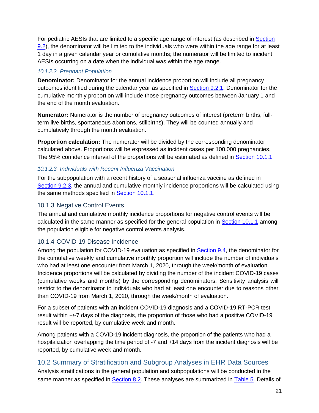For pediatric AESIs that are limited to a specific age range of interest (as described in [Section](#page-24-0) 9.2), the denominator will be limited to the individuals who were within the age range for at least 1 day in a given calendar year or cumulative months; the numerator will be limited to incident AESIs occurring on a date when the individual was within the age range.

#### *10.1.2.2 Pregnant Population*

**Denominator:** Denominator for the annual incidence proportion will include all pregnancy outcomes identified during the calendar year as specified in [Section 9.2.1.](#page-24-1) Denominator for the cumulative monthly proportion will include those pregnancy outcomes between January 1 and the end of the month evaluation.

**Numerator:** Numerator is the number of pregnancy outcomes of interest (preterm births, fullterm live births, spontaneous abortions, stillbirths). They will be counted annually and cumulatively through the month evaluation.

**Proportion calculation:** The numerator will be divided by the corresponding denominator calculated above. Proportions will be expressed as incident cases per 100,000 pregnancies. The 95% confidence interval of the proportions will be estimated as defined in [Section 10.1.1.](#page-25-3)

#### *10.1.2.3 Individuals with Recent Influenza Vaccination*

For the subpopulation with a recent history of a seasonal influenza vaccine as defined in [Section 9.2.3,](#page-24-2) the annual and cumulative monthly incidence proportions will be calculated using the same methods specified in **Section 10.1.1**.

#### <span id="page-26-0"></span>10.1.3 Negative Control Events

The annual and cumulative monthly incidence proportions for negative control events will be calculated in the same manner as specified for the general population in [Section 10.1.1](#page-25-3) among the population eligible for negative control events analysis.

#### <span id="page-26-1"></span>10.1.4 COVID-19 Disease Incidence

Among the population for COVID-19 evaluation as specified in [Section 9.4,](#page-25-0) the denominator for the cumulative weekly and cumulative monthly proportion will include the number of individuals who had at least one encounter from March 1, 2020, through the week/month of evaluation. Incidence proportions will be calculated by dividing the number of the incident COVID-19 cases (cumulative weeks and months) by the corresponding denominators. Sensitivity analysis will restrict to the denominator to individuals who had at least one encounter due to reasons other than COVID-19 from March 1, 2020, through the week/month of evaluation.

For a subset of patients with an incident COVID-19 diagnosis and a COVID-19 RT-PCR test result within +/-7 days of the diagnosis, the proportion of those who had a positive COVID-19 result will be reported, by cumulative week and month.

Among patients with a COVID-19 incident diagnosis, the proportion of the patients who had a hospitalization overlapping the time period of -7 and +14 days from the incident diagnosis will be reported, by cumulative week and month.

#### 10.2 Summary of Stratification and Subgroup Analyses in EHR Data Sources

Analysis stratifications in the general population and subpopulations will be conducted in the same manner as specified in **Section 8.2**. These analyses are summarized in [Table 5.](#page-27-0) Details of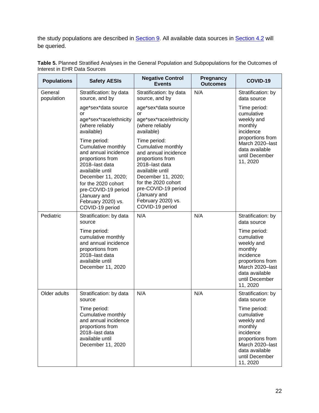the study populations are described in **Section 9**. All available data sources in **Section 4.2** will be queried.

| <b>Populations</b>    | <b>Safety AESIs</b>                                                                                                                                                                                                                              | <b>Negative Control</b><br><b>Events</b>                                                                                                                                                                                                         | Pregnancy<br><b>Outcomes</b> | COVID-19                                                                                                                                                |
|-----------------------|--------------------------------------------------------------------------------------------------------------------------------------------------------------------------------------------------------------------------------------------------|--------------------------------------------------------------------------------------------------------------------------------------------------------------------------------------------------------------------------------------------------|------------------------------|---------------------------------------------------------------------------------------------------------------------------------------------------------|
| General<br>population | Stratification: by data<br>source, and by                                                                                                                                                                                                        | Stratification: by data<br>source, and by                                                                                                                                                                                                        | N/A                          | Stratification: by<br>data source                                                                                                                       |
|                       | age*sex*data source<br>or<br>age*sex*race/ethnicity<br>(where reliably<br>available)                                                                                                                                                             | age*sex*data source<br>or<br>age*sex*race/ethnicity<br>(where reliably<br>available)                                                                                                                                                             |                              | Time period:<br>cumulative<br>weekly and<br>monthly<br>incidence                                                                                        |
|                       | Time period:<br>Cumulative monthly<br>and annual incidence<br>proportions from<br>2018-last data<br>available until<br>December 11, 2020;<br>for the 2020 cohort<br>pre-COVID-19 period<br>(January and<br>February 2020) vs.<br>COVID-19 period | Time period:<br>Cumulative monthly<br>and annual incidence<br>proportions from<br>2018-last data<br>available until<br>December 11, 2020;<br>for the 2020 cohort<br>pre-COVID-19 period<br>(January and<br>February 2020) vs.<br>COVID-19 period |                              | proportions from<br>March 2020-last<br>data available<br>until December<br>11, 2020                                                                     |
| Pediatric             | Stratification: by data<br>source                                                                                                                                                                                                                | N/A                                                                                                                                                                                                                                              | N/A                          | Stratification: by<br>data source                                                                                                                       |
|                       | Time period:<br>cumulative monthly<br>and annual incidence<br>proportions from<br>2018-last data<br>available until<br>December 11, 2020                                                                                                         |                                                                                                                                                                                                                                                  |                              | Time period:<br>cumulative<br>weekly and<br>monthly<br>incidence<br>proportions from<br>March 2020-last<br>data available<br>until December<br>11, 2020 |
| Older adults          | Stratification: by data<br>source                                                                                                                                                                                                                | N/A                                                                                                                                                                                                                                              | N/A                          | Stratification: by<br>data source                                                                                                                       |
|                       | Time period:<br>Cumulative monthly<br>and annual incidence<br>proportions from<br>2018-last data<br>available until<br>December 11, 2020                                                                                                         |                                                                                                                                                                                                                                                  |                              | Time period:<br>cumulative<br>weekly and<br>monthly<br>incidence<br>proportions from<br>March 2020-last<br>data available<br>until December<br>11, 2020 |

<span id="page-27-0"></span>**Table 5.** Planned Stratified Analyses in the General Population and Subpopulations for the Outcomes of Interest in EHR Data Sources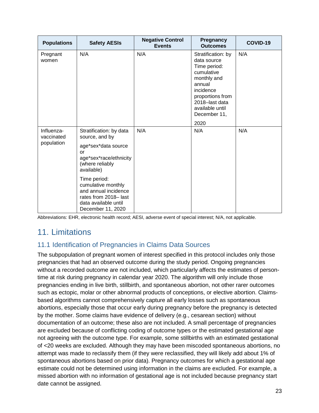| <b>Populations</b>                     | <b>Safety AESIs</b>                                                                                                             | <b>Negative Control</b><br><b>Events</b> | <b>Pregnancy</b><br><b>Outcomes</b>                                                                                                                                                    | COVID-19 |
|----------------------------------------|---------------------------------------------------------------------------------------------------------------------------------|------------------------------------------|----------------------------------------------------------------------------------------------------------------------------------------------------------------------------------------|----------|
| Pregnant<br>women                      | N/A                                                                                                                             | N/A                                      | Stratification: by<br>data source<br>Time period:<br>cumulative<br>monthly and<br>annual<br>incidence<br>proportions from<br>2018-last data<br>available until<br>December 11,<br>2020 | N/A      |
| Influenza-<br>vaccinated<br>population | Stratification: by data<br>source, and by                                                                                       | N/A                                      | N/A                                                                                                                                                                                    | N/A      |
|                                        | age*sex*data source<br>or<br>age*sex*race/ethnicity<br>(where reliably<br>available)                                            |                                          |                                                                                                                                                                                        |          |
|                                        | Time period:<br>cumulative monthly<br>and annual incidence<br>rates from 2018-last<br>data available until<br>December 11, 2020 |                                          |                                                                                                                                                                                        |          |

Abbreviations: EHR, electronic health record; AESI, adverse event of special interest; N/A, not applicable.

### <span id="page-28-0"></span>11. Limitations

#### <span id="page-28-1"></span>11.1 Identification of Pregnancies in Claims Data Sources

The subpopulation of pregnant women of interest specified in this protocol includes only those pregnancies that had an observed outcome during the study period. Ongoing pregnancies without a recorded outcome are not included, which particularly affects the estimates of persontime at risk during pregnancy in calendar year 2020. The algorithm will only include those pregnancies ending in live birth, stillbirth, and spontaneous abortion, not other rarer outcomes such as ectopic, molar or other abnormal products of conceptions, or elective abortion. Claimsbased algorithms cannot comprehensively capture all early losses such as spontaneous abortions, especially those that occur early during pregnancy before the pregnancy is detected by the mother. Some claims have evidence of delivery (e.g., cesarean section) without documentation of an outcome; these also are not included. A small percentage of pregnancies are excluded because of conflicting coding of outcome types or the estimated gestational age not agreeing with the outcome type. For example, some stillbirths with an estimated gestational of <20 weeks are excluded. Although they may have been miscoded spontaneous abortions, no attempt was made to reclassify them (if they were reclassified, they will likely add about 1% of spontaneous abortions based on prior data). Pregnancy outcomes for which a gestational age estimate could not be determined using information in the claims are excluded. For example, a missed abortion with no information of gestational age is not included because pregnancy start date cannot be assigned.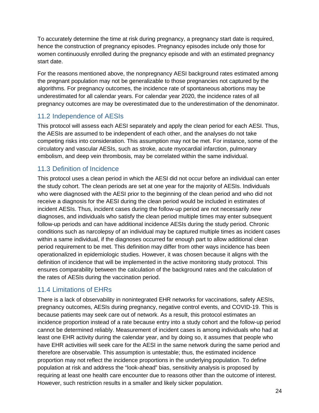To accurately determine the time at risk during pregnancy, a pregnancy start date is required, hence the construction of pregnancy episodes. Pregnancy episodes include only those for women continuously enrolled during the pregnancy episode and with an estimated pregnancy start date.

For the reasons mentioned above, the nonpregnancy AESI background rates estimated among the pregnant population may not be generalizable to those pregnancies not captured by the algorithms. For pregnancy outcomes, the incidence rate of spontaneous abortions may be underestimated for all calendar years. For calendar year 2020, the incidence rates of all pregnancy outcomes are may be overestimated due to the underestimation of the denominator.

#### <span id="page-29-0"></span>11.2 Independence of AESIs

This protocol will assess each AESI separately and apply the clean period for each AESI. Thus, the AESIs are assumed to be independent of each other, and the analyses do not take competing risks into consideration. This assumption may not be met. For instance, some of the circulatory and vascular AESIs, such as stroke, acute myocardial infarction, pulmonary embolism, and deep vein thrombosis, may be correlated within the same individual.

#### <span id="page-29-1"></span>11.3 Definition of Incidence

This protocol uses a clean period in which the AESI did not occur before an individual can enter the study cohort. The clean periods are set at one year for the majority of AESIs. Individuals who were diagnosed with the AESI prior to the beginning of the clean period and who did not receive a diagnosis for the AESI during the clean period would be included in estimates of incident AESIs. Thus, incident cases during the follow-up period are not necessarily *new*  diagnoses, and individuals who satisfy the clean period multiple times may enter subsequent follow-up periods and can have additional incidence AESIs during the study period. Chronic conditions such as narcolepsy of an individual may be captured multiple times as incident cases within a same individual, if the diagnoses occurred far enough part to allow additional clean period requirement to be met. This definition may differ from other ways incidence has been operationalized in epidemiologic studies. However, it was chosen because it aligns with the definition of incidence that will be implemented in the active monitoring study protocol. This ensures comparability between the calculation of the background rates and the calculation of the rates of AESIs during the vaccination period.

#### <span id="page-29-2"></span>11.4 Limitations of EHRs

There is a lack of observability in nonintegrated EHR networks for vaccinations, safety AESIs, pregnancy outcomes, AESIs during pregnancy, negative control events, and COVID-19. This is because patients may seek care out of network. As a result, this protocol estimates an incidence proportion instead of a rate because entry into a study cohort and the follow-up period cannot be determined reliably. Measurement of incident cases is among individuals who had at least one EHR activity during the calendar year, and by doing so, it assumes that people who have EHR activities will seek care for the AESI in the same network during the same period and therefore are observable. This assumption is untestable; thus, the estimated incidence proportion may not reflect the incidence proportions in the underlying population. To define population at risk and address the "look-ahead" bias, sensitivity analysis is proposed by requiring at least one health care encounter due to reasons other than the outcome of interest. However, such restriction results in a smaller and likely sicker population.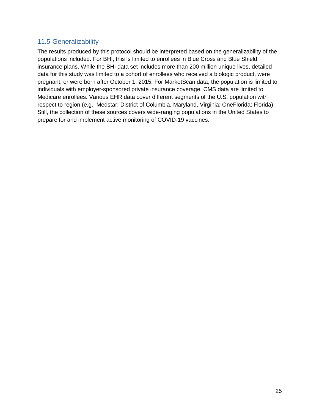#### <span id="page-30-0"></span>11.5 Generalizability

The results produced by this protocol should be interpreted based on the generalizability of the populations included. For BHI, this is limited to enrollees in Blue Cross and Blue Shield insurance plans. While the BHI data set includes more than 200 million unique lives, detailed data for this study was limited to a cohort of enrollees who received a biologic product, were pregnant, or were born after October 1, 2015. For MarketScan data, the population is limited to individuals with employer-sponsored private insurance coverage. CMS data are limited to Medicare enrollees. Various EHR data cover different segments of the U.S. population with respect to region (e.g., Medstar: District of Columbia, Maryland, Virginia; OneFlorida: Florida). Still, the collection of these sources covers wide-ranging populations in the United States to prepare for and implement active monitoring of COVID-19 vaccines.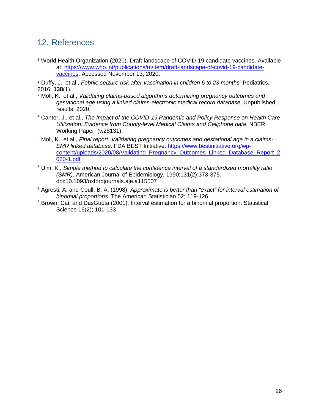### <span id="page-31-0"></span>12. References

<sup>1</sup> World Health Organization (2020). Draft landscape of COVID-19 candidate vaccines. Available at: [https://www.who.int/publications/m/item/draft-landscape-of-covid-19-candidate](https://www.who.int/publications/m/item/draft-landscape-of-covid-19-candidate-vaccines)[vaccines.](https://www.who.int/publications/m/item/draft-landscape-of-covid-19-candidate-vaccines) Accessed November 13, 2020.

<sup>2</sup> Duffy, J., et al., *Febrile seizure risk after vaccination in children 6 to 23 months. Pediatrics,* 2016. **138**(1).

- <sup>3</sup> Moll, K., et al., *Validating claims-based algorithms determining pregnancy outcomes and gestational age using a linked claims-electronic medical record database.* Unpublished results, 2020.
- <sup>4</sup> Cantor, J., et al., *The Impact of the COVID-19 Pandemic and Policy Response on Health Care Utilization: Evidence from County-level Medical Claims and Cellphone data*. NBER Working Paper, (w28131).
- <sup>5</sup> Moll, K., et al., *Final report: Validating pregnancy outcomes and gestational age in a claims-EMR linked database*. FDA BEST Initiative. [https://www.bestinitiative.org/wp](https://www.bestinitiative.org/wp-content/uploads/2020/08/Validating_Pregnancy_Outcomes_Linked_Database_Report_2020-1.pdf)[content/uploads/2020/08/Validating\\_Pregnancy\\_Outcomes\\_Linked\\_Database\\_Report\\_2](https://www.bestinitiative.org/wp-content/uploads/2020/08/Validating_Pregnancy_Outcomes_Linked_Database_Report_2020-1.pdf) [020-1.pdf](https://www.bestinitiative.org/wp-content/uploads/2020/08/Validating_Pregnancy_Outcomes_Linked_Database_Report_2020-1.pdf)
- <sup>6</sup> Ulm, K., *Simple method to calculate the confidence interval of a standardized mortality ratio (SMR)*. American Journal of Epidemiology. 1990;131(2):373-375. doi:10.1093/oxfordjournals.aje.a115507
- <sup>7</sup> Agresti, A. and Coull, B. A. (1998). *Approximate is better than "exact" for interval estimation of binomial proportions*. The American Statistician 52; 119-126
- <sup>8</sup> Brown, Cai, and DasGupta (2001). Interval estimation for a binomial proportion. Statistical Science 16(2); 101-133